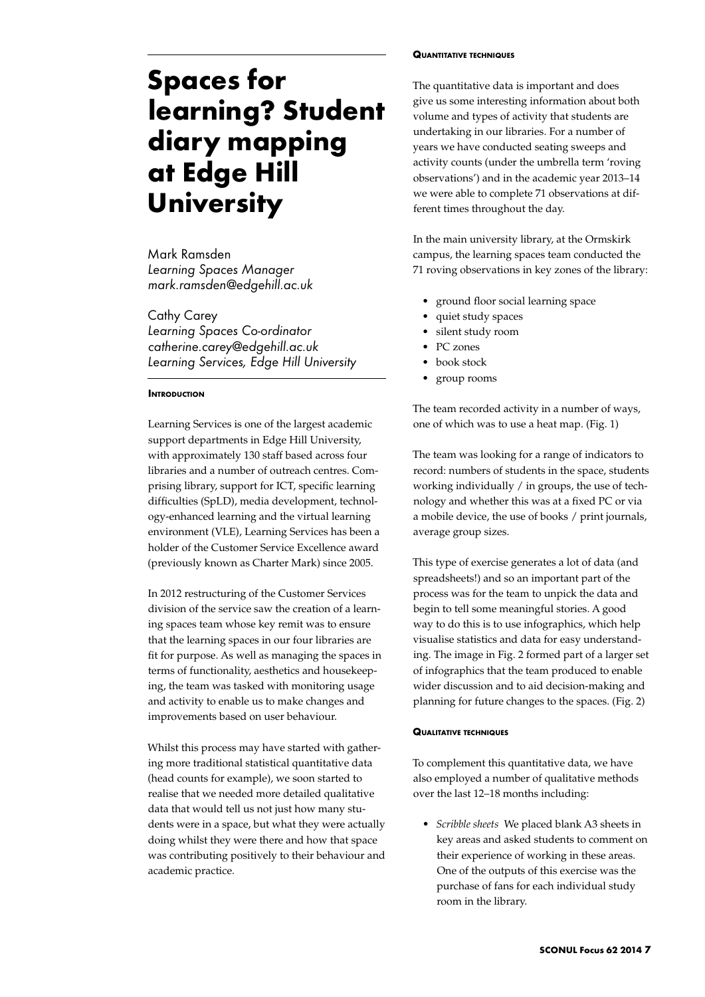# **Spaces for learning? Student diary mapping at Edge Hill University**

Mark Ramsden *Learning Spaces Manager mark.ramsden@edgehill.ac.uk*

Cathy Carey *Learning Spaces Co-ordinator catherine.carey@edgehill.ac.uk Learning Services, Edge Hill University*

# **Introduction**

Learning Services is one of the largest academic support departments in Edge Hill University, with approximately 130 staff based across four libraries and a number of outreach centres. Comprising library, support for ICT, specific learning difficulties (SpLD), media development, technology-enhanced learning and the virtual learning environment (VLE), Learning Services has been a holder of the Customer Service Excellence award (previously known as Charter Mark) since 2005.

In 2012 restructuring of the Customer Services division of the service saw the creation of a learning spaces team whose key remit was to ensure that the learning spaces in our four libraries are fit for purpose. As well as managing the spaces in terms of functionality, aesthetics and housekeeping, the team was tasked with monitoring usage and activity to enable us to make changes and improvements based on user behaviour.

Whilst this process may have started with gathering more traditional statistical quantitative data (head counts for example), we soon started to realise that we needed more detailed qualitative data that would tell us not just how many students were in a space, but what they were actually doing whilst they were there and how that space was contributing positively to their behaviour and academic practice.

#### **Quantitative techniques**

The quantitative data is important and does give us some interesting information about both volume and types of activity that students are undertaking in our libraries. For a number of years we have conducted seating sweeps and activity counts (under the umbrella term 'roving observations') and in the academic year 2013–14 we were able to complete 71 observations at different times throughout the day.

In the main university library, at the Ormskirk campus, the learning spaces team conducted the 71 roving observations in key zones of the library:

- ground floor social learning space
- quiet study spaces
- silent study room
- PC zones
- book stock
- group rooms

The team recorded activity in a number of ways, one of which was to use a heat map. (Fig. 1)

The team was looking for a range of indicators to record: numbers of students in the space, students working individually / in groups, the use of technology and whether this was at a fixed PC or via a mobile device, the use of books / print journals, average group sizes.

This type of exercise generates a lot of data (and spreadsheets!) and so an important part of the process was for the team to unpick the data and begin to tell some meaningful stories. A good way to do this is to use infographics, which help visualise statistics and data for easy understanding. The image in Fig. 2 formed part of a larger set of infographics that the team produced to enable wider discussion and to aid decision-making and planning for future changes to the spaces. (Fig. 2)

#### **Qualitative techniques**

To complement this quantitative data, we have also employed a number of qualitative methods over the last 12–18 months including:

*• Scribble sheets* We placed blank A3 sheets in key areas and asked students to comment on their experience of working in these areas. One of the outputs of this exercise was the purchase of fans for each individual study room in the library.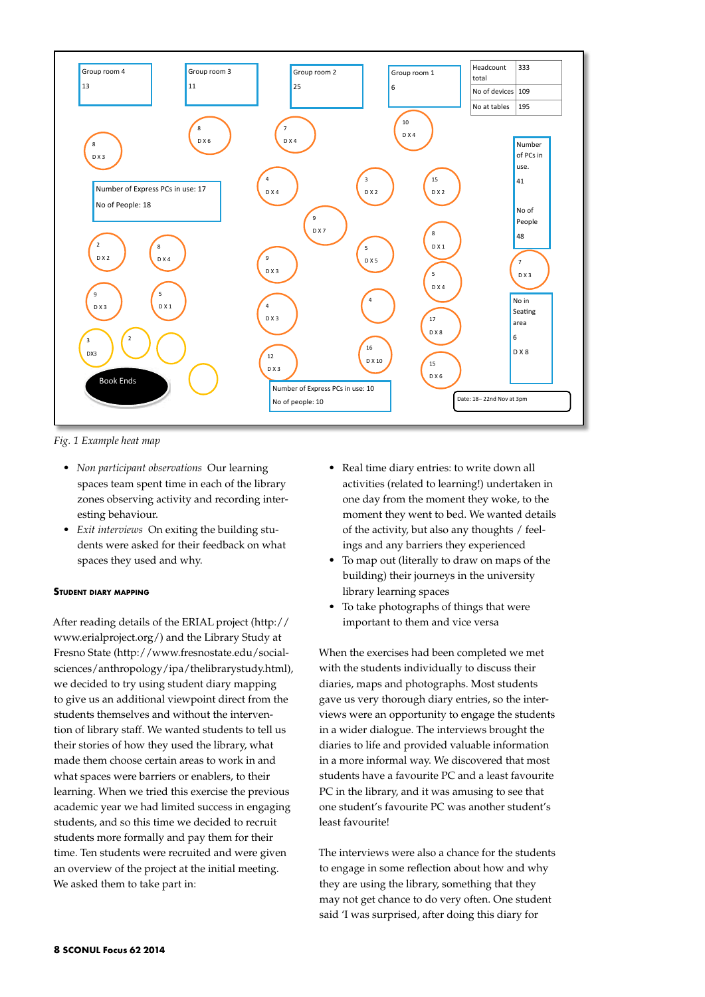

*Fig. 1 Example heat map*

- *• Non participant observations* Our learning spaces team spent time in each of the library zones observing activity and recording interesting behaviour.
- *• Exit interviews* On exiting the building students were asked for their feedback on what spaces they used and why.

### **Student diary mapping**

After reading details of the ERIAL project (http:// www.erialproject.org/) and the Library Study at Fresno State (http://www.fresnostate.edu/socialsciences/anthropology/ipa/thelibrarystudy.html), we decided to try using student diary mapping to give us an additional viewpoint direct from the students themselves and without the intervention of library staff. We wanted students to tell us their stories of how they used the library, what made them choose certain areas to work in and what spaces were barriers or enablers, to their learning. When we tried this exercise the previous academic year we had limited success in engaging students, and so this time we decided to recruit students more formally and pay them for their time. Ten students were recruited and were given an overview of the project at the initial meeting. We asked them to take part in:

- *•*  Real time diary entries: to write down all activities (related to learning!) undertaken in one day from the moment they woke, to the moment they went to bed. We wanted details of the activity, but also any thoughts / feelings and any barriers they experienced
- *•*  To map out (literally to draw on maps of the building) their journeys in the university library learning spaces
- *•*  To take photographs of things that were important to them and vice versa

When the exercises had been completed we met with the students individually to discuss their diaries, maps and photographs. Most students gave us very thorough diary entries, so the interviews were an opportunity to engage the students in a wider dialogue. The interviews brought the diaries to life and provided valuable information in a more informal way. We discovered that most students have a favourite PC and a least favourite PC in the library, and it was amusing to see that one student's favourite PC was another student's least favourite!

The interviews were also a chance for the students to engage in some reflection about how and why they are using the library, something that they may not get chance to do very often. One student said 'I was surprised, after doing this diary for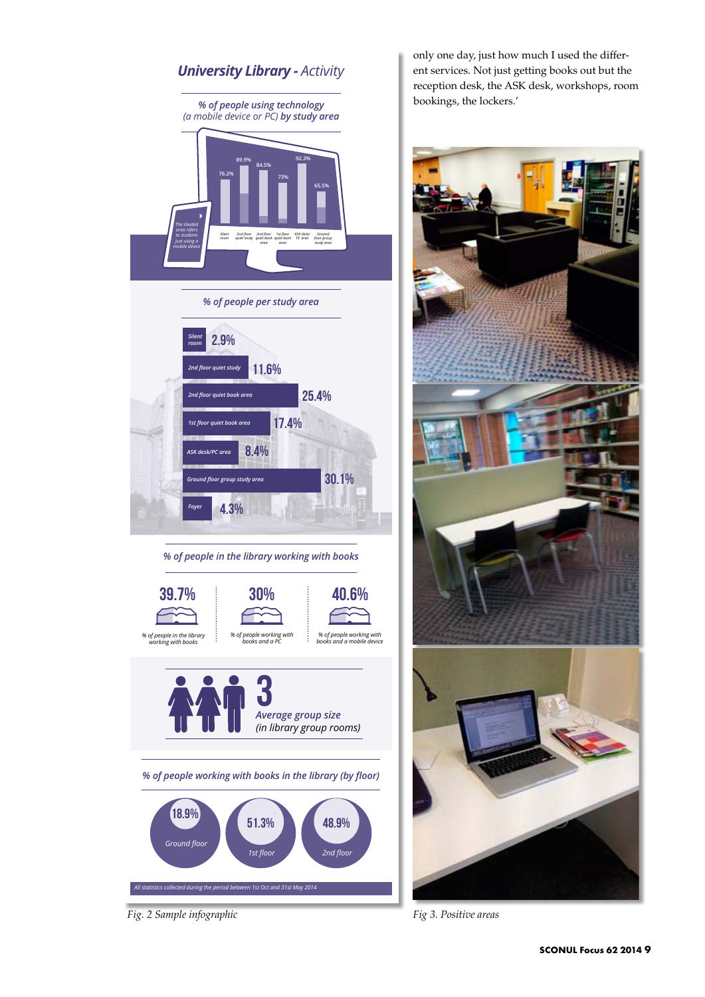

*Fig. 2 Sample infographic*

only one day, just how much I used the different services. Not just getting books out but the reception desk, the ASK desk, workshops, room bookings, the lockers.'



*Fig 3. Positive areas*